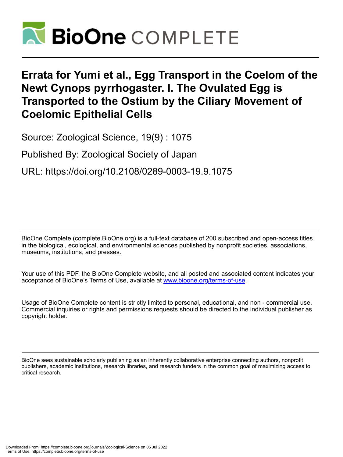

## **Errata for Yumi et al., Egg Transport in the Coelom of the Newt Cynops pyrrhogaster. I. The Ovulated Egg is Transported to the Ostium by the Ciliary Movement of Coelomic Epithelial Cells**

Source: Zoological Science, 19(9) : 1075

Published By: Zoological Society of Japan

URL: https://doi.org/10.2108/0289-0003-19.9.1075

BioOne Complete (complete.BioOne.org) is a full-text database of 200 subscribed and open-access titles in the biological, ecological, and environmental sciences published by nonprofit societies, associations, museums, institutions, and presses.

Your use of this PDF, the BioOne Complete website, and all posted and associated content indicates your acceptance of BioOne's Terms of Use, available at www.bioone.org/terms-of-use.

Usage of BioOne Complete content is strictly limited to personal, educational, and non - commercial use. Commercial inquiries or rights and permissions requests should be directed to the individual publisher as copyright holder.

BioOne sees sustainable scholarly publishing as an inherently collaborative enterprise connecting authors, nonprofit publishers, academic institutions, research libraries, and research funders in the common goal of maximizing access to critical research.